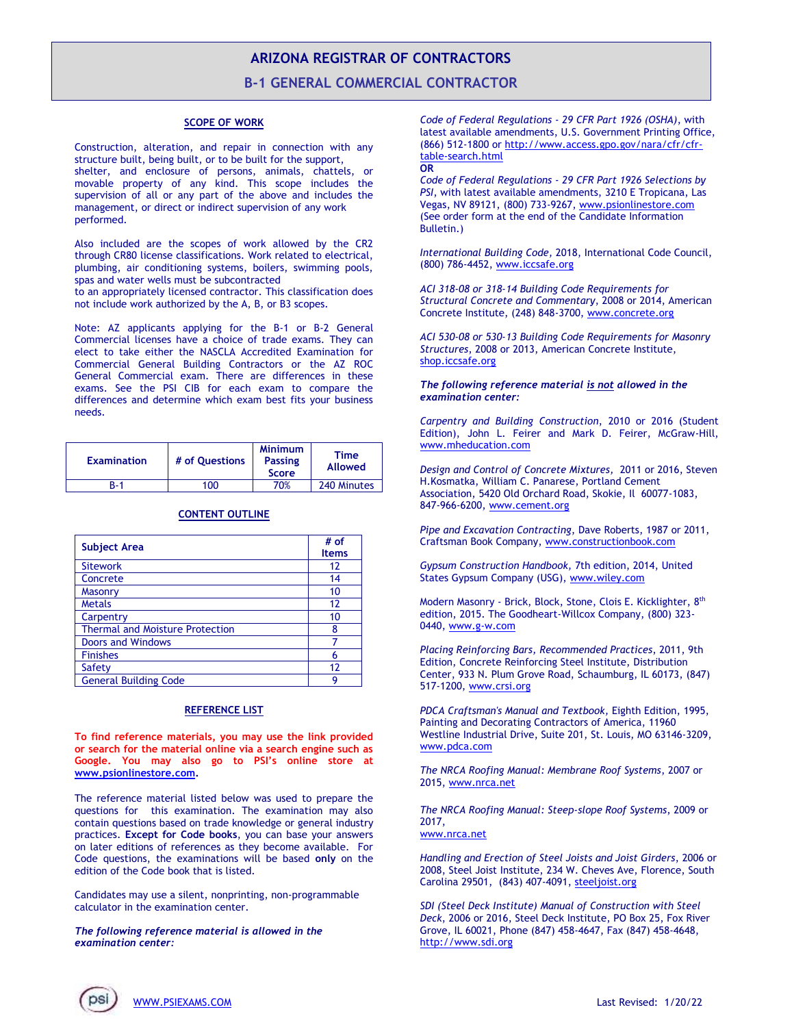## **ARIZONA REGISTRAR OF CONTRACTORS**

**B-1 GENERAL COMMERCIAL CONTRACTOR**

## **SCOPE OF WORK**

Construction, alteration, and repair in connection with any structure built, being built, or to be built for the support, shelter, and enclosure of persons, animals, chattels, or movable property of any kind. This scope includes the supervision of all or any part of the above and includes the management, or direct or indirect supervision of any work performed.

Also included are the scopes of work allowed by the CR2 through CR80 license classifications. Work related to electrical, plumbing, air conditioning systems, boilers, swimming pools, spas and water wells must be subcontracted

to an appropriately licensed contractor. This classification does not include work authorized by the A, B, or B3 scopes.

Note: AZ applicants applying for the B-1 or B-2 General Commercial licenses have a choice of trade exams. They can elect to take either the NASCLA Accredited Examination for Commercial General Building Contractors or the AZ ROC General Commercial exam. There are differences in these exams. See the PSI CIB for each exam to compare the differences and determine which exam best fits your business needs.

| <b>Examination</b> | # of Ouestions | <b>Minimum</b><br><b>Passing</b><br><b>Score</b> | Time<br><b>Allowed</b> |
|--------------------|----------------|--------------------------------------------------|------------------------|
| R-1                | 100            | 70%                                              | 240 Minutes            |

| <b>Subject Area</b>                    | # of<br><b>Items</b> |
|----------------------------------------|----------------------|
| <b>Sitework</b>                        | 12                   |
| Concrete                               | 14                   |
| <b>Masonry</b>                         | 10                   |
| <b>Metals</b>                          | 12                   |
| Carpentry                              | 10                   |
| <b>Thermal and Moisture Protection</b> | 8                    |
| <b>Doors and Windows</b>               |                      |
| <b>Finishes</b>                        | 6                    |
| Safety                                 | 12                   |
| <b>General Building Code</b>           | Q                    |

## **CONTENT OUTLINE**

## **REFERENCE LIST**

**To find reference materials, you may use the link provided or search for the material online via a search engine such as Google. You may also go to PSI's online store at [www.psionlinestore.com.](http://www.psionlinestore.com/)**

The reference material listed below was used to prepare the questions for this examination. The examination may also contain questions based on trade knowledge or general industry practices. **Except for Code books**, you can base your answers on later editions of references as they become available. For Code questions, the examinations will be based **only** on the edition of the Code book that is listed.

Candidates may use a silent, nonprinting, non-programmable calculator in the examination center.

*The following reference material is allowed in the examination center:*

*Code of Federal Regulations - 29 CFR Part 1926 (OSHA)*, with latest available amendments, U.S. Government Printing Office, (866) 512-1800 or [http://www.access.gpo.gov/nara/cfr/cfr](http://www.access.gpo.gov/nara/cfr/cfr-table-search.html)[table-search.html](http://www.access.gpo.gov/nara/cfr/cfr-table-search.html) **OR** 

*Code of Federal Regulations - 29 CFR Part 1926 Selections by PSI*, with latest available amendments, 3210 E Tropicana, Las Vegas, NV 89121, (800) 733-9267, [www.psionlinestore.com](http://www.psionlinestore.com/) (See order form at the end of the Candidate Information Bulletin.)

*International Building Code,* 2018, International Code Council, (800) 786-4452[, www.iccsafe.org](http://www.iccsafe.org/) 

*ACI 318-08 or 318-14 Building Code Requirements for Structural Concrete and Commentary*, 2008 or 2014, American Concrete Institute, (248) 848-3700, [www.concrete.org](https://www.concrete.org/)

*ACI 530-08 or 530-13 Building Code Requirements for Masonry Structures*, 2008 or 2013, American Concrete Institute, [shop.iccsafe.org](http://shop.iccsafe.org/)

*The following reference material is not allowed in the examination center:*

*Carpentry and Building Construction*, 2010 or 2016 (Student Edition), John L. Feirer and Mark D. Feirer, McGraw-Hill, [www.mheducation.com](http://www.mheducation.com/prek-12/product/glencoe-carpentry-building-construction-student-edition-mcgraw-hill-education/0021402442.html)

*Design and Control of Concrete Mixtures,* 2011 or 2016, Steven H.Kosmatka, William C. Panarese, Portland Cement Association, 5420 Old Orchard Road, Skokie, Il 60077-1083, 847-966-6200, [www.cement.org](http://www.cement.org/)

*Pipe and Excavation Contracting*, Dave Roberts, 1987 or 2011, Craftsman Book Company[, www.constructionbook.com](https://www.constructionbook.com/)

*Gypsum Construction Handbook,* 7th edition, 2014, United States Gypsum Company (USG)[, www.wiley.com](http://www.wiley.com/WileyCDA/WileyTitle/productCd-1118749847,descCd-buy.html)

Modern Masonry - Brick, Block, Stone, Clois E. Kicklighter, 8th edition, 2015. The Goodheart-Willcox Company, (800) 323- 0440, [www.g-w.com](http://www.g-w.com/)

*Placing Reinforcing Bars, Recommended Practices*, 2011, 9th Edition, Concrete Reinforcing Steel Institute, Distribution Center, 933 N. Plum Grove Road, Schaumburg, IL 60173, (847) 517-1200[, www.crsi.org](http://www.crsi.org/)

*PDCA Craftsman's Manual and Textbook,* Eighth Edition, 1995, Painting and Decorating Contractors of America, 11960 Westline Industrial Drive, Suite 201, St. Louis, MO 63146-3209, [www.pdca.com](http://www.pdca.com/)

*The NRCA Roofing Manual: Membrane Roof Systems*, 2007 or 2015, [www.nrca.net](http://www.nrca.net/)

*The NRCA Roofing Manual: Steep-slope Roof Systems*, 2009 or 2017, [www.nrca.net](http://www.nrca.net/)

*Handling and Erection of Steel Joists and Joist Girders*, 2006 or 2008, Steel Joist Institute, 234 W. Cheves Ave, Florence, South Carolina 29501, (843) 407-4091, [steeljoist.org](https://steeljoist.org/)

*SDI (Steel Deck Institute) Manual of Construction with Steel Deck*, 2006 or 2016, Steel Deck Institute, PO Box 25, Fox River Grove, IL 60021, Phone (847) 458-4647, Fax (847) 458-4648, [http://www.sdi.org](http://www.sdi.org/)